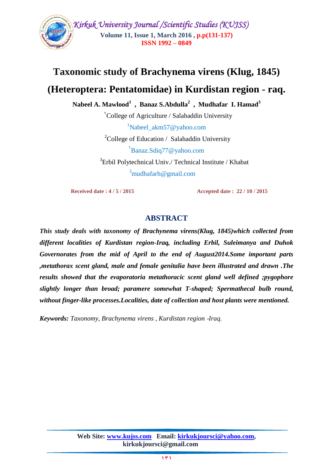

# **Taxonomic study of Brachynema virens (Klug, 1845)**

## **(Heteroptera: Pentatomidae) in Kurdistan region - raq.**

**Nabeel A. Mawlood<sup>1</sup> , Banaz S.Abdulla<sup>2</sup> , Mudhafar I. Hamad<sup>3</sup>**

College of Agriculture / Salahaddin University  **1**  $\mu$ <sup>1</sup>[Nabeel\\_akm57@yahoo.com](mailto:Nabeel_akm57@yahoo.com) <sup>2</sup>College of Education / Salahaddin University [Banaz.Sdiq77@yahoo.com](mailto:Banaz.Sdiq77@yahoo.com) <sup>2</sup>

<sup>3</sup>Erbil Polytechnical Univ./ Technical Institute / Khabat  $3$ mudhafarh@gmail.com

 **Received date : 4 / 5 / 2015 Accepted date : 22 / 10 / 2015**

### **ABSTRACT**

*This study deals with taxonomy of Brachynema virens(Klug, 1845)which collected from different localities of Kurdistan region-Iraq, including Erbil, Suleimanya and Duhok Governorates from the mid of April to the end of August2014.Some important parts ,metathorax scent gland, male and female genitalia have been illustrated and drawn .The results showed that the evaporatoria metathoracic scent gland well defined ;pygophore slightly longer than broad; paramere somewhat T-shaped; Spermathecal bulb round, without finger-like processes.Localities, date of collection and host plants were mentioned.*

*Keywords: Taxonomy, Brachynema virens , Kurdistan region* -*Iraq.*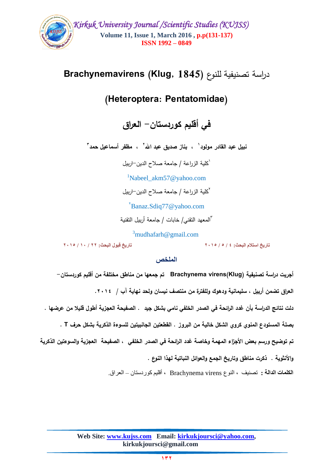

# دراسة تصنيفية لمنوع **(1845 ,Klug (Brachynemavirens**

# **(Heteroptera: Pentatomidae)**

**في أقميم كوردستان- العراق**

نبيل عبد القادر مولود<sup>י</sup> ، بناز صديق عبد الله<sup>"</sup> ، مظفر أسماعيل حمد "

1 كمية الزراعة / جامعة صالح الدين-اربيل

<sup>1</sup>[Nabeel\\_akm57@yahoo.com](mailto:Nabeel_akm57@yahoo.com)

2 كمية الزراعة / جامعة صالح الدين-اربيل

[Banaz.Sdiq77@yahoo.com](mailto:Banaz.Sdiq77@yahoo.com) <sup>2</sup>

3 المعهد التقني/ خابات / جامعة أربيل التقنية

 $\delta$ [mudhafarh@gmail.com](mailto:3mudhafarh@gmail.com)

**تاريخ استالم البحث: 4 / 5 / 2015 تاريخ قبول البحث: 22 / 10 / 2015**

#### **الملخص**

**أجريت دراسة تصنيفية (Klug(virens Brachynema تم جمعها من مناطق مختمفة من أقميم كوردستان- العراق تضمن أربيل ، سميمانية ودهوك ولمفترة من منتصف نيسان ولحد نهاية آب / .2114**  دلت نتائج الدراسة بأن غدد الرائحة ف*ي* الصدر الخلفي نامي بشكل جيد . الصفيحة العجزية أطول قليلا من عرضها .  **بصمة المستودع المنوي كروي الشكل خالية من البروز . القطعتين الجانبيتين لمسوءة الذكرية بشكل حرف T . تم توضيح ورسم بعض األجزاء المهمة وخاصة غدد الرائحة في الصدر الخمفي ، الصفيحة العجزية والسو ءتين الذكرية واألنثوية . ذكرت مناطق وتاريخ الجمع والعوائل النباتية لهذا النوع . الكلمات الدالة :** تصنيف ، النوع virens Brachynema ، أقليم كوردستان – العراق.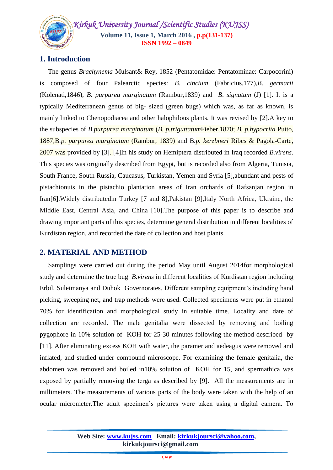*Kirkuk University Journal /Scientific Studies (KUJSS)*  **Volume 11, Issue 1, March 2016 , p.p(131-137) ISSN 1992 – 0849**

### **1. Introduction**

 The genus *Brachynema* Mulsant& Rey, 1852 (Pentatomidae: Pentatominae: Carpocorini) is composed of four Palearctic species: *B*. *cinctum* (Fabricius,177),*B*. *germarii* (Kolenati,1846), *B*. *purpurea marginatum* (Rambur,1839) and *B*. *signatum* (J) [1]. It is a typically Mediterranean genus of big- sized (green bugs) which was, as far as known, is mainly linked to Chenopodiacea and other halophilous plants. It was revised by [2].A key to the subspecies of *B.purpurea marginatum* (*B. p.triguttatum*Fieber,1870; *B. p.hypocrita* Putto, 1887;B*.p. purpurea marginatum* (Rambur, 1839) and B*.p. kerzbneri* Ribes & Pagola-Carte, 2007 was provided by [3]. [4]In his study on Hemiptera distributed in Iraq recorded *B.virens*. This species was originally described from Egypt, but is recorded also from Algeria, Tunisia, South France, South Russia, Caucasus, Turkistan, Yemen and Syria [5],abundant and pests of pistachionuts in the pistachio plantation areas of Iran orchards of Rafsanjan region in Iran[6].Widely distributedin Turkey [7 and 8],Pakistan [9],Italy North Africa, Ukraine, the Middle East, Central Asia, and China [10].The purpose of this paper is to describe and drawing important parts of this species, determine general distribution in different localities of Kurdistan region, and recorded the date of collection and host plants.

#### **2. MATERIAL AND METHOD**

 Samplings were carried out during the period May until August 2014for morphological study and determine the true bug *B.virens* in different localities of Kurdistan region including Erbil, Suleimanya and Duhok Governorates. Different sampling equipment's including hand picking, sweeping net, and trap methods were used. Collected specimens were put in ethanol 70% for identification and morphological study in suitable time. Locality and date of collection are recorded. The male genitalia were dissected by removing and boiling pygophore in 10% solution of KOH for 25-30 minutes following the method described by [11]. After eliminating excess KOH with water, the paramer and aedeagus were removed and inflated, and studied under compound microscope. For examining the female genitalia, the abdomen was removed and boiled in10% solution of KOH for 15, and spermathica was exposed by partially removing the terga as described by [9]. All the measurements are in millimeters. The measurements of various parts of the body were taken with the help of an ocular micrometer.The adult specimen's pictures were taken using a digital camera. To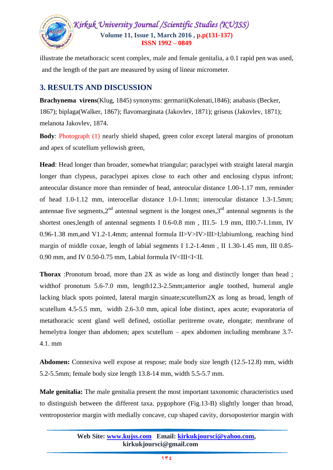

illustrate the metathoracic scent complex, male and female genitalia, a 0.1 rapid pen was used, and the length of the part are measured by using of linear micrometer.

### **3. RESULTS AND DISCUSSION**

**Brachynema virens**(Klug, 1845) synonyms: germarii(Kolenati,1846); anabasis (Becker, 1867); biplaga(Walker, 1867); flavomarginata (Jakovlev, 1871); griseus (Jakovlev, 1871); melanota Jakovlev, 1874.

**Body**: Photograph (1) nearly shield shaped, green color except lateral margins of pronotum and apex of scutellum yellowish green,

**Head**: Head longer than broader, somewhat triangular; paraclypei with straight lateral margin longer than clypeus, paraclypei apixes close to each other and enclosing clypus infront; anteocular distance more than reminder of head, anteocular distance 1.00-1.17 mm, reminder of head 1.0-1.12 mm, interocellar distance 1.0-1.1mm; interocular distance 1.3-1.5mm; antennae five segments,  $2<sup>nd</sup>$  antennal segment is the longest ones,  $3<sup>rd</sup>$  antennal segments is the shortest ones,length of antennal segments I 0.6-0.8 mm , II1.5- 1.9 mm, III0.7-1.1mm, IV 0.96-1.38 mm,and V1.2-1.4mm; antennal formula II>V>IV>III>I;labiumlong, reaching hind margin of middle coxae, length of labial segments I 1.2-1.4mm , II 1.30-1.45 mm, III 0.85- 0.90 mm, and IV 0.50-0.75 mm, Labial formula IV<III<II.

**Thorax** :Pronotum broad, more than 2X as wide as long and distinctly longer than head ; widthof pronotum 5.6-7.0 mm, length12.3-2.5mm;anterior angle toothed, humeral angle lacking black spots pointed, lateral margin sinuate;scutellum2X as long as broad, length of scutellum 4.5-5.5 mm, width 2.6-3.0 mm, apical lobe distinct, apex acute; evaporatoria of metathoracic scent gland well defined, ostiollar peritreme ovate, elongate; membrane of hemelytra longer than abdomen; apex scutellum – apex abdomen including membrane 3.7- 4.1. mm

**Abdomen:** Connexiva well expose at respose; male body size length (12.5-12.8) mm, width 5.2-5.5mm; female body size length 13.8-14 mm, width 5.5-5.7 mm.

**Male genitalia:** The male genitalia present the most important taxonomic characteristics used to distinguish between the different taxa. pygophore (Fig.13-B) slightly longer than broad, ventroposterior margin with medially concave, cup shaped cavity, dorsoposterior margin with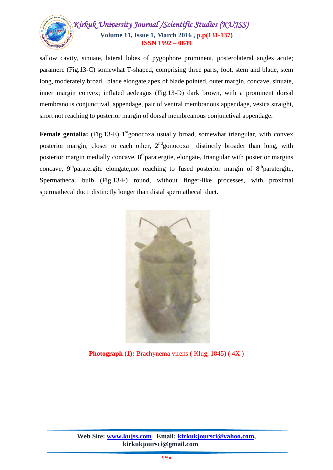

sallow cavity, sinuate, lateral lobes of pygophore prominent, posterolateral angles acute; paramere (Fig.13-C) somewhat T-shaped, comprising three parts, foot, stem and blade, stem long, moderately broad, blade elongate,apex of blade pointed, outer margin, concave, sinuate, inner margin convex; inflated aedeagus (Fig.13-D) dark brown, with a prominent dorsal membranous conjunctival appendage, pair of ventral membranous appendage, vesica straight, short not reaching to posterior margin of dorsal membreanous conjunctival appendage.

**Female gentalia:** (Fig.13-E) 1<sup>st</sup>gonocoxa usually broad, somewhat triangular, with convex posterior margin, closer to each other,  $2<sup>nd</sup>$  gonocoxa distinctly broader than long, with posterior margin medially concave,  $8<sup>th</sup>$  paratergite, elongate, triangular with posterior margins concave,  $9<sup>th</sup>$  paratergite elongate, not reaching to fused posterior margin of  $8<sup>th</sup>$  paratergite, Spermathecal bulb (Fig.13-F) round, without finger-like processes, with proximal spermathecal duct distinctly longer than distal spermathecal duct.



**Photograph (1):** Brachynema virens (Klug, 1845) (4X)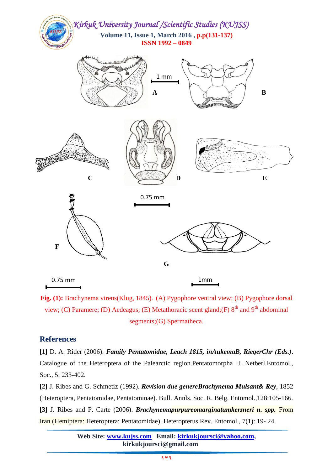

**Fig. (1):** Brachynema virens(Klug, 1845). (A) Pygophore ventral view; (B) Pygophore dorsal view; (C) Paramere; (D) Aedeagus; (E) Metathoracic scent gland; (F)  $8<sup>th</sup>$  and  $9<sup>th</sup>$  abdominal segments;(G) Spermatheca.

#### **References**

**[1]** D. A. Rider (2006). *Family Pentatomidae, Leach 1815, inAukemaB, RiegerChr (Eds.)*. Catalogue of the Heteroptera of the Palearctic region.Pentatomorpha II. Netberl.Entomol., Soc., 5: 233-402.

**[2]** J. Ribes and G. Schmetiz (1992). *Revision due genereBrachynema Mulsant& Rey*, 1852 (Heteroptera, Pentatomidae, Pentatominae). Bull. Annls. Soc. R. Belg. Entomol.,128:105-166. **[3]** J. Ribes and P. Carte (2006). *Brachynemapurpureomarginatumkerzneri n. spp.* From Iran (Hemiptera: Heteroptera: Pentatomidae). Heteropterus Rev. Entomol., 7(1): 19- 24.